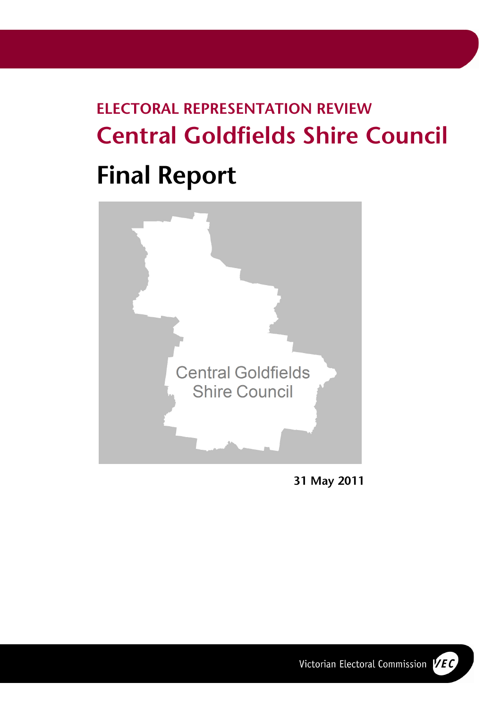# **ELECTORAL REPRESENTATION REVIEW Central Goldfields Shire Council Final Report**



**31 May 2011** 

Victorian Electoral Commission VEC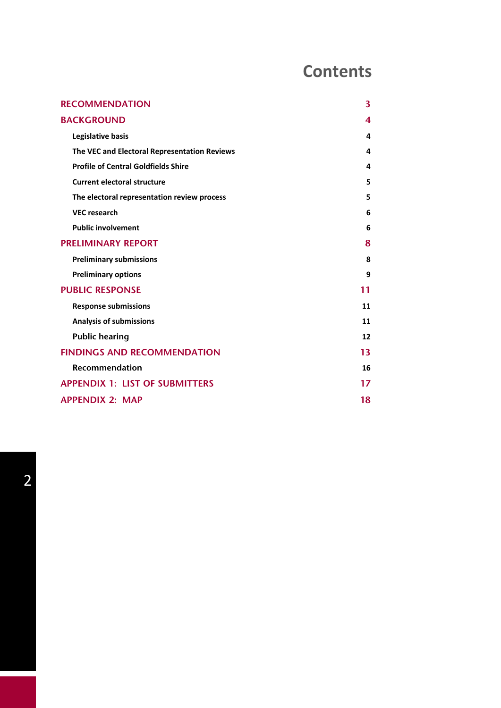# **Contents**

| <b>RECOMMENDATION</b>                        | 3  |
|----------------------------------------------|----|
| <b>BACKGROUND</b>                            | 4  |
| Legislative basis                            | 4  |
| The VEC and Electoral Representation Reviews | 4  |
| <b>Profile of Central Goldfields Shire</b>   | 4  |
| <b>Current electoral structure</b>           | 5  |
| The electoral representation review process  | 5  |
| <b>VEC research</b>                          | 6  |
| <b>Public involvement</b>                    | 6  |
| <b>PRELIMINARY REPORT</b>                    | 8  |
| <b>Preliminary submissions</b>               | 8  |
| <b>Preliminary options</b>                   | 9  |
| <b>PUBLIC RESPONSE</b>                       | 11 |
| <b>Response submissions</b>                  | 11 |
| <b>Analysis of submissions</b>               | 11 |
| <b>Public hearing</b>                        | 12 |
| <b>FINDINGS AND RECOMMENDATION</b>           | 13 |
| <b>Recommendation</b>                        | 16 |
| <b>APPENDIX 1: LIST OF SUBMITTERS</b>        | 17 |
| <b>APPENDIX 2: MAP</b>                       | 18 |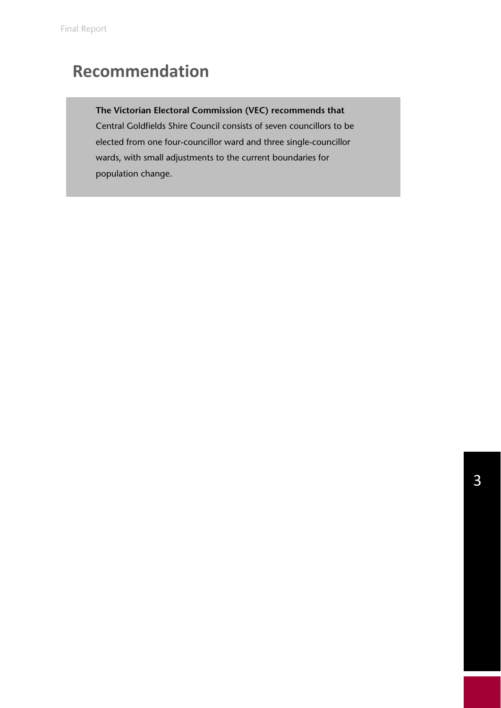# **Recommendation**

# **The Victorian Electoral Commission (VEC) recommends that**

Central Goldfields Shire Council consists of seven councillors to be elected from one four-councillor ward and three single-councillor wards, with small adjustments to the current boundaries for population change.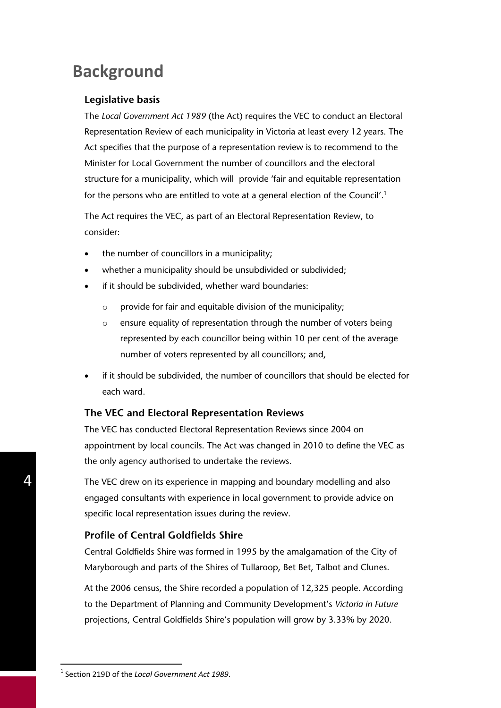# **Background**

### **Legislative basis**

The *Local Government Act 1989* (the Act) requires the VEC to conduct an Electoral Representation Review of each municipality in Victoria at least every 12 years. The Act specifies that the purpose of a representation review is to recommend to the Minister for Local Government the number of councillors and the electoral structure for a municipality, which will provide 'fair and equitable representation for the persons who are entitled to vote at a general election of the Council'.1

The Act requires the VEC, as part of an Electoral Representation Review, to consider:

- the number of councillors in a municipality;
- whether a municipality should be unsubdivided or subdivided;
- if it should be subdivided, whether ward boundaries:
	- o provide for fair and equitable division of the municipality;
	- o ensure equality of representation through the number of voters being represented by each councillor being within 10 per cent of the average number of voters represented by all councillors; and,
- if it should be subdivided, the number of councillors that should be elected for each ward.

### **The VEC and Electoral Representation Reviews**

The VEC has conducted Electoral Representation Reviews since 2004 on appointment by local councils. The Act was changed in 2010 to define the VEC as the only agency authorised to undertake the reviews.

The VEC drew on its experience in mapping and boundary modelling and also engaged consultants with experience in local government to provide advice on specific local representation issues during the review.

# **Profile of Central Goldfields Shire**

Central Goldfields Shire was formed in 1995 by the amalgamation of the City of Maryborough and parts of the Shires of Tullaroop, Bet Bet, Talbot and Clunes.

At the 2006 census, the Shire recorded a population of 12,325 people. According to the Department of Planning and Community Development's *Victoria in Future* projections, Central Goldfields Shire's population will grow by 3.33% by 2020.

-

<sup>1</sup> Section 219D of the *Local Government Act 1989*.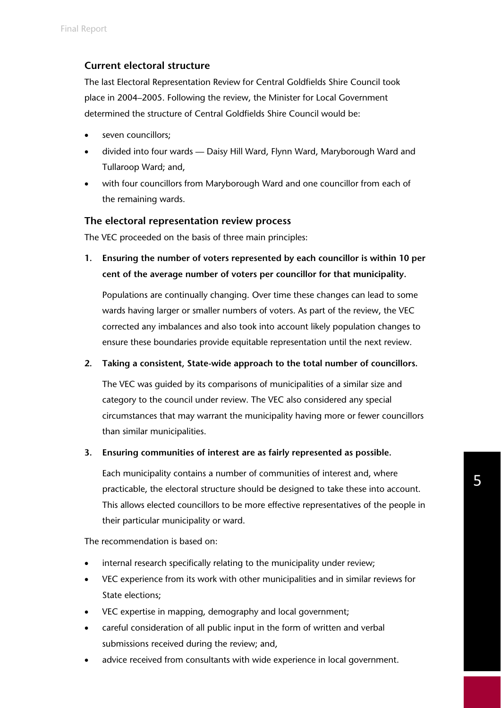# **Current electoral structure**

The last Electoral Representation Review for Central Goldfields Shire Council took place in 2004–2005. Following the review, the Minister for Local Government determined the structure of Central Goldfields Shire Council would be:

- seven councillors;
- divided into four wards Daisy Hill Ward, Flynn Ward, Maryborough Ward and Tullaroop Ward; and,
- with four councillors from Maryborough Ward and one councillor from each of the remaining wards.

## **The electoral representation review process**

The VEC proceeded on the basis of three main principles:

**1. Ensuring the number of voters represented by each councillor is within 10 per cent of the average number of voters per councillor for that municipality.** 

Populations are continually changing. Over time these changes can lead to some wards having larger or smaller numbers of voters. As part of the review, the VEC corrected any imbalances and also took into account likely population changes to ensure these boundaries provide equitable representation until the next review.

### **2. Taking a consistent, State-wide approach to the total number of councillors.**

The VEC was guided by its comparisons of municipalities of a similar size and category to the council under review. The VEC also considered any special circumstances that may warrant the municipality having more or fewer councillors than similar municipalities.

### **3. Ensuring communities of interest are as fairly represented as possible.**

Each municipality contains a number of communities of interest and, where practicable, the electoral structure should be designed to take these into account. This allows elected councillors to be more effective representatives of the people in their particular municipality or ward.

The recommendation is based on:

- internal research specifically relating to the municipality under review;
- VEC experience from its work with other municipalities and in similar reviews for State elections;
- VEC expertise in mapping, demography and local government;
- careful consideration of all public input in the form of written and verbal submissions received during the review; and,
- advice received from consultants with wide experience in local government.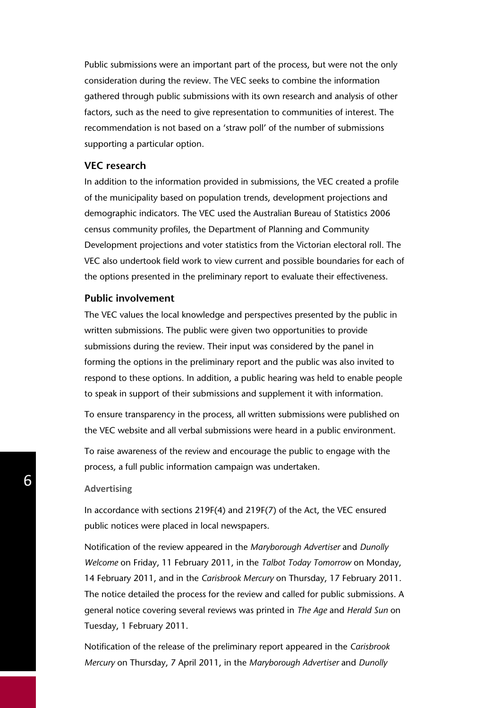Public submissions were an important part of the process, but were not the only consideration during the review. The VEC seeks to combine the information gathered through public submissions with its own research and analysis of other factors, such as the need to give representation to communities of interest. The recommendation is not based on a 'straw poll' of the number of submissions supporting a particular option.

#### **VEC research**

In addition to the information provided in submissions, the VEC created a profile of the municipality based on population trends, development projections and demographic indicators. The VEC used the Australian Bureau of Statistics 2006 census community profiles, the Department of Planning and Community Development projections and voter statistics from the Victorian electoral roll. The VEC also undertook field work to view current and possible boundaries for each of the options presented in the preliminary report to evaluate their effectiveness.

### **Public involvement**

The VEC values the local knowledge and perspectives presented by the public in written submissions. The public were given two opportunities to provide submissions during the review. Their input was considered by the panel in forming the options in the preliminary report and the public was also invited to respond to these options. In addition, a public hearing was held to enable people to speak in support of their submissions and supplement it with information.

To ensure transparency in the process, all written submissions were published on the VEC website and all verbal submissions were heard in a public environment.

To raise awareness of the review and encourage the public to engage with the process, a full public information campaign was undertaken.

#### **Advertising**

In accordance with sections 219F(4) and 219F(7) of the Act, the VEC ensured public notices were placed in local newspapers.

Notification of the review appeared in the *Maryborough Advertiser* and *Dunolly Welcome* on Friday, 11 February 2011, in the *Talbot Today Tomorrow* on Monday, 14 February 2011, and in the *Carisbrook Mercury* on Thursday, 17 February 2011. The notice detailed the process for the review and called for public submissions. A general notice covering several reviews was printed in *The Age* and *Herald Sun* on Tuesday, 1 February 2011.

Notification of the release of the preliminary report appeared in the *Carisbrook Mercury* on Thursday, 7 April 2011, in the *Maryborough Advertiser* and *Dunolly*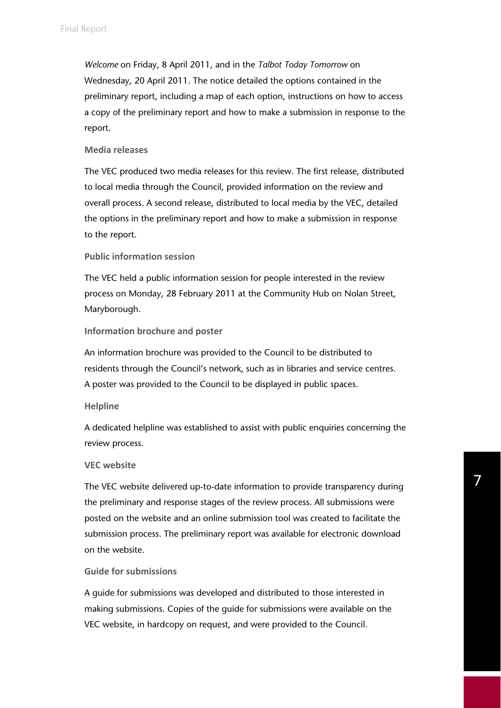*Welcome* on Friday, 8 April 2011, and in the *Talbot Today Tomorrow* on Wednesday, 20 April 2011. The notice detailed the options contained in the preliminary report, including a map of each option, instructions on how to access a copy of the preliminary report and how to make a submission in response to the report.

#### **Media releases**

The VEC produced two media releases for this review. The first release, distributed to local media through the Council, provided information on the review and overall process. A second release, distributed to local media by the VEC, detailed the options in the preliminary report and how to make a submission in response to the report.

#### **Public information session**

The VEC held a public information session for people interested in the review process on Monday, 28 February 2011 at the Community Hub on Nolan Street, Maryborough.

#### **Information brochure and poster**

An information brochure was provided to the Council to be distributed to residents through the Council's network, such as in libraries and service centres. A poster was provided to the Council to be displayed in public spaces.

#### **Helpline**

A dedicated helpline was established to assist with public enquiries concerning the review process.

#### **VEC website**

The VEC website delivered up-to-date information to provide transparency during the preliminary and response stages of the review process. All submissions were posted on the website and an online submission tool was created to facilitate the submission process. The preliminary report was available for electronic download on the website.

#### **Guide for submissions**

A guide for submissions was developed and distributed to those interested in making submissions. Copies of the guide for submissions were available on the VEC website, in hardcopy on request, and were provided to the Council.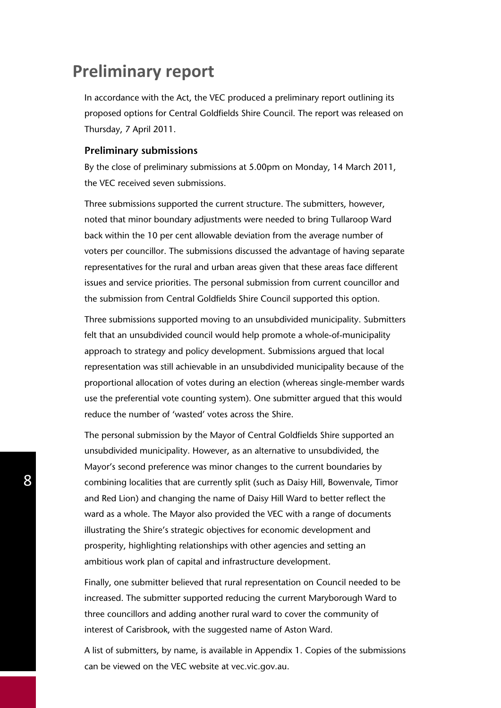# **Preliminary report**

In accordance with the Act, the VEC produced a preliminary report outlining its proposed options for Central Goldfields Shire Council. The report was released on Thursday, 7 April 2011.

#### **Preliminary submissions**

By the close of preliminary submissions at 5.00pm on Monday, 14 March 2011, the VEC received seven submissions.

Three submissions supported the current structure. The submitters, however, noted that minor boundary adjustments were needed to bring Tullaroop Ward back within the 10 per cent allowable deviation from the average number of voters per councillor. The submissions discussed the advantage of having separate representatives for the rural and urban areas given that these areas face different issues and service priorities. The personal submission from current councillor and the submission from Central Goldfields Shire Council supported this option.

Three submissions supported moving to an unsubdivided municipality. Submitters felt that an unsubdivided council would help promote a whole-of-municipality approach to strategy and policy development. Submissions argued that local representation was still achievable in an unsubdivided municipality because of the proportional allocation of votes during an election (whereas single-member wards use the preferential vote counting system). One submitter argued that this would reduce the number of 'wasted' votes across the Shire.

The personal submission by the Mayor of Central Goldfields Shire supported an unsubdivided municipality. However, as an alternative to unsubdivided, the Mayor's second preference was minor changes to the current boundaries by combining localities that are currently split (such as Daisy Hill, Bowenvale, Timor and Red Lion) and changing the name of Daisy Hill Ward to better reflect the ward as a whole. The Mayor also provided the VEC with a range of documents illustrating the Shire's strategic objectives for economic development and prosperity, highlighting relationships with other agencies and setting an ambitious work plan of capital and infrastructure development.

Finally, one submitter believed that rural representation on Council needed to be increased. The submitter supported reducing the current Maryborough Ward to three councillors and adding another rural ward to cover the community of interest of Carisbrook, with the suggested name of Aston Ward.

A list of submitters, by name, is available in Appendix 1. Copies of the submissions can be viewed on the VEC website at vec.vic.gov.au.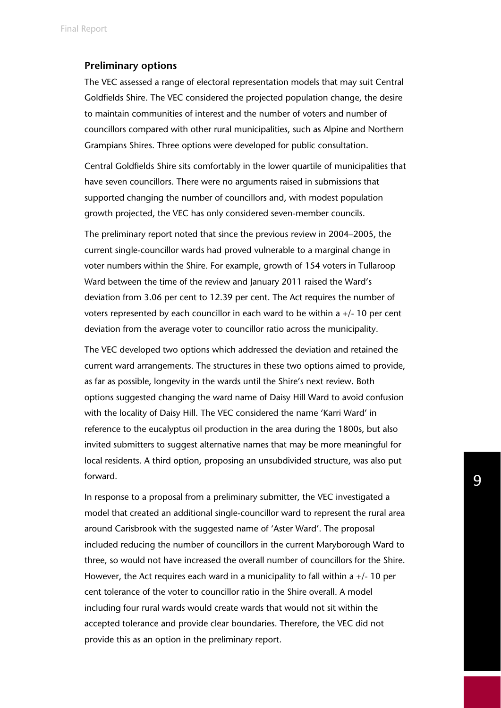#### **Preliminary options**

The VEC assessed a range of electoral representation models that may suit Central Goldfields Shire. The VEC considered the projected population change, the desire to maintain communities of interest and the number of voters and number of councillors compared with other rural municipalities, such as Alpine and Northern Grampians Shires. Three options were developed for public consultation.

Central Goldfields Shire sits comfortably in the lower quartile of municipalities that have seven councillors. There were no arguments raised in submissions that supported changing the number of councillors and, with modest population growth projected, the VEC has only considered seven-member councils.

The preliminary report noted that since the previous review in 2004–2005, the current single-councillor wards had proved vulnerable to a marginal change in voter numbers within the Shire. For example, growth of 154 voters in Tullaroop Ward between the time of the review and January 2011 raised the Ward's deviation from 3.06 per cent to 12.39 per cent. The Act requires the number of voters represented by each councillor in each ward to be within a +/- 10 per cent deviation from the average voter to councillor ratio across the municipality.

The VEC developed two options which addressed the deviation and retained the current ward arrangements. The structures in these two options aimed to provide, as far as possible, longevity in the wards until the Shire's next review. Both options suggested changing the ward name of Daisy Hill Ward to avoid confusion with the locality of Daisy Hill. The VEC considered the name 'Karri Ward' in reference to the eucalyptus oil production in the area during the 1800s, but also invited submitters to suggest alternative names that may be more meaningful for local residents. A third option, proposing an unsubdivided structure, was also put forward.

In response to a proposal from a preliminary submitter, the VEC investigated a model that created an additional single-councillor ward to represent the rural area around Carisbrook with the suggested name of 'Aster Ward'. The proposal included reducing the number of councillors in the current Maryborough Ward to three, so would not have increased the overall number of councillors for the Shire. However, the Act requires each ward in a municipality to fall within a  $+/-10$  per cent tolerance of the voter to councillor ratio in the Shire overall. A model including four rural wards would create wards that would not sit within the accepted tolerance and provide clear boundaries. Therefore, the VEC did not provide this as an option in the preliminary report.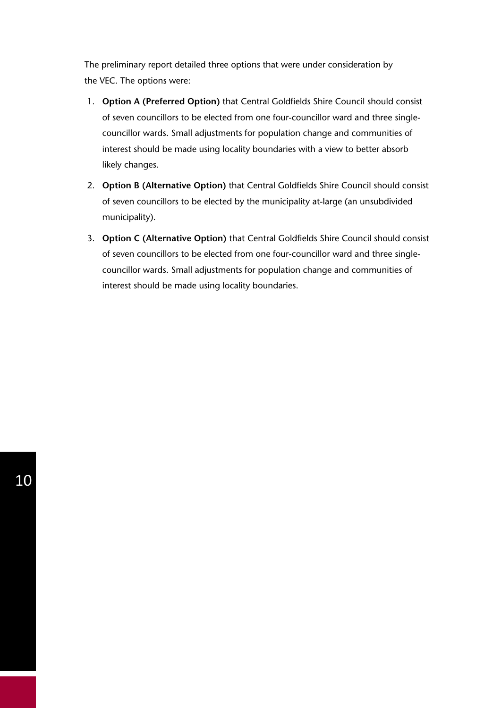The preliminary report detailed three options that were under consideration by the VEC. The options were:

- 1. **Option A (Preferred Option)** that Central Goldfields Shire Council should consist of seven councillors to be elected from one four-councillor ward and three singlecouncillor wards. Small adjustments for population change and communities of interest should be made using locality boundaries with a view to better absorb likely changes.
- 2. **Option B (Alternative Option)** that Central Goldfields Shire Council should consist of seven councillors to be elected by the municipality at-large (an unsubdivided municipality).
- 3. **Option C (Alternative Option)** that Central Goldfields Shire Council should consist of seven councillors to be elected from one four-councillor ward and three singlecouncillor wards. Small adjustments for population change and communities of interest should be made using locality boundaries.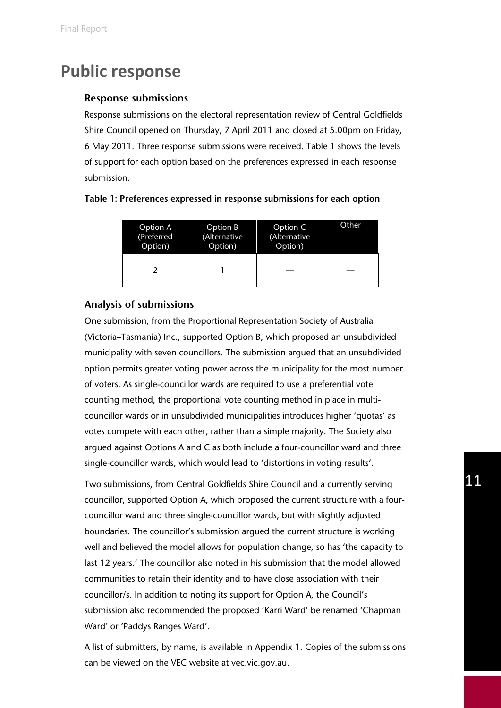# **Public response**

### **Response submissions**

Response submissions on the electoral representation review of Central Goldfields Shire Council opened on Thursday, 7 April 2011 and closed at 5.00pm on Friday, 6 May 2011. Three response submissions were received. Table 1 shows the levels of support for each option based on the preferences expressed in each response submission.

| <b>Option A</b> | Option B     | Option C     | Other |
|-----------------|--------------|--------------|-------|
| (Preferred      | (Alternative | (Alternative |       |
| Option)         | Option)      | Option)      |       |
|                 |              |              |       |

#### **Table 1: Preferences expressed in response submissions for each option**

#### **Analysis of submissions**

One submission, from the Proportional Representation Society of Australia (Victoria–Tasmania) Inc., supported Option B, which proposed an unsubdivided municipality with seven councillors. The submission argued that an unsubdivided option permits greater voting power across the municipality for the most number of voters. As single-councillor wards are required to use a preferential vote counting method, the proportional vote counting method in place in multicouncillor wards or in unsubdivided municipalities introduces higher 'quotas' as votes compete with each other, rather than a simple majority. The Society also argued against Options A and C as both include a four-councillor ward and three single-councillor wards, which would lead to 'distortions in voting results'.

Two submissions, from Central Goldfields Shire Council and a currently serving councillor, supported Option A, which proposed the current structure with a fourcouncillor ward and three single-councillor wards, but with slightly adjusted boundaries. The councillor's submission argued the current structure is working well and believed the model allows for population change, so has 'the capacity to last 12 years.' The councillor also noted in his submission that the model allowed communities to retain their identity and to have close association with their councillor/s. In addition to noting its support for Option A, the Council's submission also recommended the proposed 'Karri Ward' be renamed 'Chapman Ward' or 'Paddys Ranges Ward'.

A list of submitters, by name, is available in Appendix 1. Copies of the submissions can be viewed on the VEC website at vec.vic.gov.au.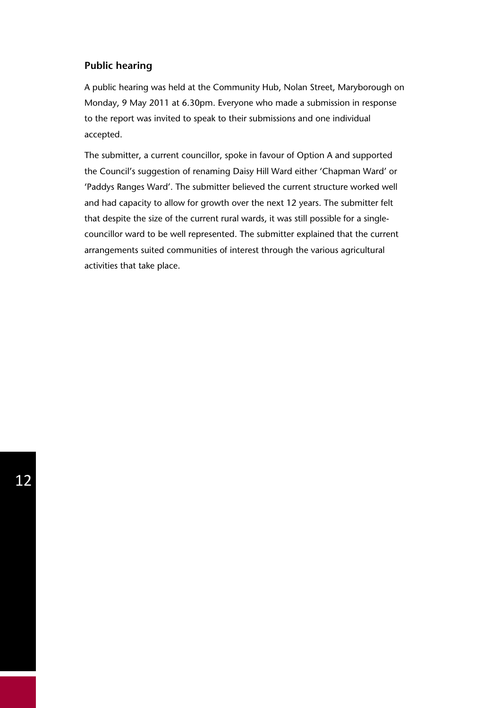### **Public hearing**

A public hearing was held at the Community Hub, Nolan Street, Maryborough on Monday, 9 May 2011 at 6.30pm. Everyone who made a submission in response to the report was invited to speak to their submissions and one individual accepted.

The submitter, a current councillor, spoke in favour of Option A and supported the Council's suggestion of renaming Daisy Hill Ward either 'Chapman Ward' or 'Paddys Ranges Ward'. The submitter believed the current structure worked well and had capacity to allow for growth over the next 12 years. The submitter felt that despite the size of the current rural wards, it was still possible for a singlecouncillor ward to be well represented. The submitter explained that the current arrangements suited communities of interest through the various agricultural activities that take place.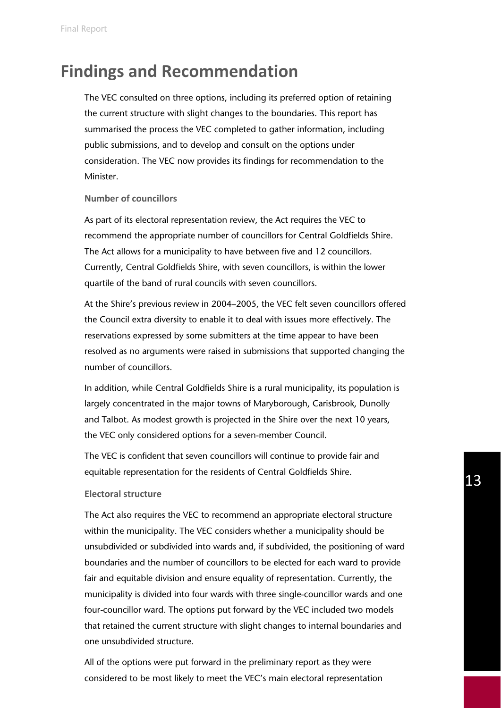# **Findings and Recommendation**

The VEC consulted on three options, including its preferred option of retaining the current structure with slight changes to the boundaries. This report has summarised the process the VEC completed to gather information, including public submissions, and to develop and consult on the options under consideration. The VEC now provides its findings for recommendation to the Minister.

#### **Number of councillors**

As part of its electoral representation review, the Act requires the VEC to recommend the appropriate number of councillors for Central Goldfields Shire. The Act allows for a municipality to have between five and 12 councillors. Currently, Central Goldfields Shire, with seven councillors, is within the lower quartile of the band of rural councils with seven councillors.

At the Shire's previous review in 2004–2005, the VEC felt seven councillors offered the Council extra diversity to enable it to deal with issues more effectively. The reservations expressed by some submitters at the time appear to have been resolved as no arguments were raised in submissions that supported changing the number of councillors.

In addition, while Central Goldfields Shire is a rural municipality, its population is largely concentrated in the major towns of Maryborough, Carisbrook, Dunolly and Talbot. As modest growth is projected in the Shire over the next 10 years, the VEC only considered options for a seven-member Council.

The VEC is confident that seven councillors will continue to provide fair and equitable representation for the residents of Central Goldfields Shire.

#### **Electoral structure**

The Act also requires the VEC to recommend an appropriate electoral structure within the municipality. The VEC considers whether a municipality should be unsubdivided or subdivided into wards and, if subdivided, the positioning of ward boundaries and the number of councillors to be elected for each ward to provide fair and equitable division and ensure equality of representation. Currently, the municipality is divided into four wards with three single-councillor wards and one four-councillor ward. The options put forward by the VEC included two models that retained the current structure with slight changes to internal boundaries and one unsubdivided structure.

All of the options were put forward in the preliminary report as they were considered to be most likely to meet the VEC's main electoral representation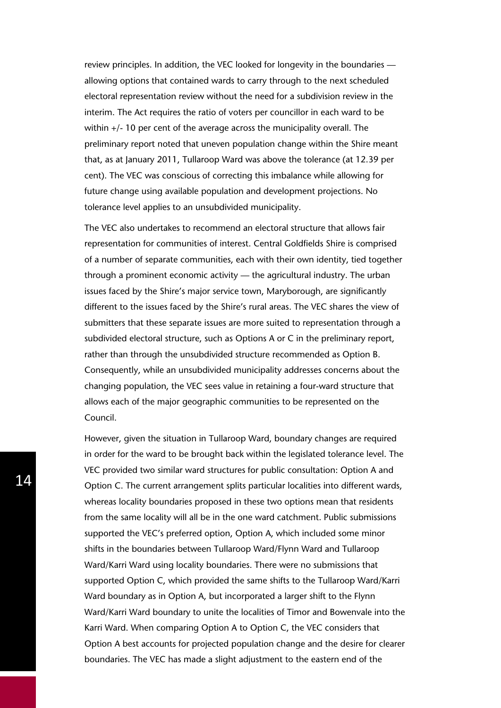review principles. In addition, the VEC looked for longevity in the boundaries allowing options that contained wards to carry through to the next scheduled electoral representation review without the need for a subdivision review in the interim. The Act requires the ratio of voters per councillor in each ward to be within +/- 10 per cent of the average across the municipality overall. The preliminary report noted that uneven population change within the Shire meant that, as at January 2011, Tullaroop Ward was above the tolerance (at 12.39 per cent). The VEC was conscious of correcting this imbalance while allowing for future change using available population and development projections. No tolerance level applies to an unsubdivided municipality.

The VEC also undertakes to recommend an electoral structure that allows fair representation for communities of interest. Central Goldfields Shire is comprised of a number of separate communities, each with their own identity, tied together through a prominent economic activity — the agricultural industry. The urban issues faced by the Shire's major service town, Maryborough, are significantly different to the issues faced by the Shire's rural areas. The VEC shares the view of submitters that these separate issues are more suited to representation through a subdivided electoral structure, such as Options A or C in the preliminary report, rather than through the unsubdivided structure recommended as Option B. Consequently, while an unsubdivided municipality addresses concerns about the changing population, the VEC sees value in retaining a four-ward structure that allows each of the major geographic communities to be represented on the Council.

However, given the situation in Tullaroop Ward, boundary changes are required in order for the ward to be brought back within the legislated tolerance level. The VEC provided two similar ward structures for public consultation: Option A and Option C. The current arrangement splits particular localities into different wards, whereas locality boundaries proposed in these two options mean that residents from the same locality will all be in the one ward catchment. Public submissions supported the VEC's preferred option, Option A, which included some minor shifts in the boundaries between Tullaroop Ward/Flynn Ward and Tullaroop Ward/Karri Ward using locality boundaries. There were no submissions that supported Option C, which provided the same shifts to the Tullaroop Ward/Karri Ward boundary as in Option A, but incorporated a larger shift to the Flynn Ward/Karri Ward boundary to unite the localities of Timor and Bowenvale into the Karri Ward. When comparing Option A to Option C, the VEC considers that Option A best accounts for projected population change and the desire for clearer boundaries. The VEC has made a slight adjustment to the eastern end of the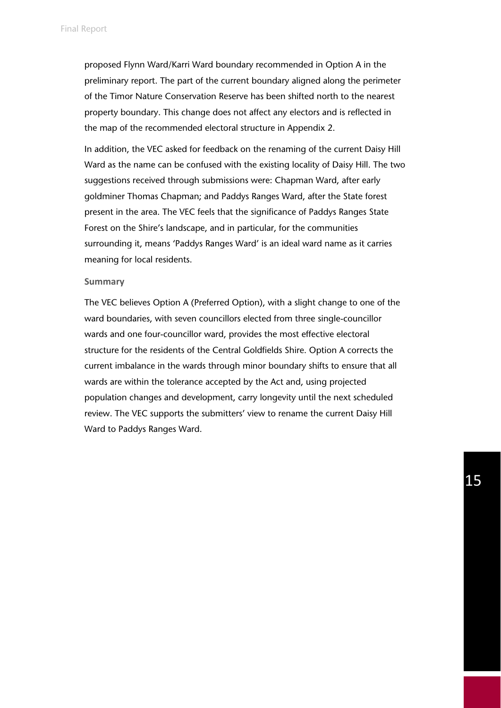proposed Flynn Ward/Karri Ward boundary recommended in Option A in the preliminary report. The part of the current boundary aligned along the perimeter of the Timor Nature Conservation Reserve has been shifted north to the nearest property boundary. This change does not affect any electors and is reflected in the map of the recommended electoral structure in Appendix 2.

In addition, the VEC asked for feedback on the renaming of the current Daisy Hill Ward as the name can be confused with the existing locality of Daisy Hill. The two suggestions received through submissions were: Chapman Ward, after early goldminer Thomas Chapman; and Paddys Ranges Ward, after the State forest present in the area. The VEC feels that the significance of Paddys Ranges State Forest on the Shire's landscape, and in particular, for the communities surrounding it, means 'Paddys Ranges Ward' is an ideal ward name as it carries meaning for local residents.

#### **Summary**

The VEC believes Option A (Preferred Option), with a slight change to one of the ward boundaries, with seven councillors elected from three single-councillor wards and one four-councillor ward, provides the most effective electoral structure for the residents of the Central Goldfields Shire. Option A corrects the current imbalance in the wards through minor boundary shifts to ensure that all wards are within the tolerance accepted by the Act and, using projected population changes and development, carry longevity until the next scheduled review. The VEC supports the submitters' view to rename the current Daisy Hill Ward to Paddys Ranges Ward.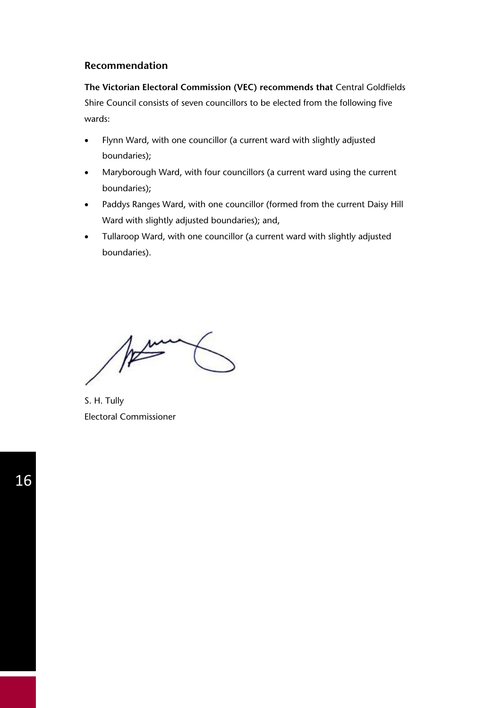### **Recommendation**

**The Victorian Electoral Commission (VEC) recommends that** Central Goldfields Shire Council consists of seven councillors to be elected from the following five wards:

- Flynn Ward, with one councillor (a current ward with slightly adjusted boundaries);
- Maryborough Ward, with four councillors (a current ward using the current boundaries);
- Paddys Ranges Ward, with one councillor (formed from the current Daisy Hill Ward with slightly adjusted boundaries); and,
- Tullaroop Ward, with one councillor (a current ward with slightly adjusted boundaries).

At

S. H. Tully Electoral Commissioner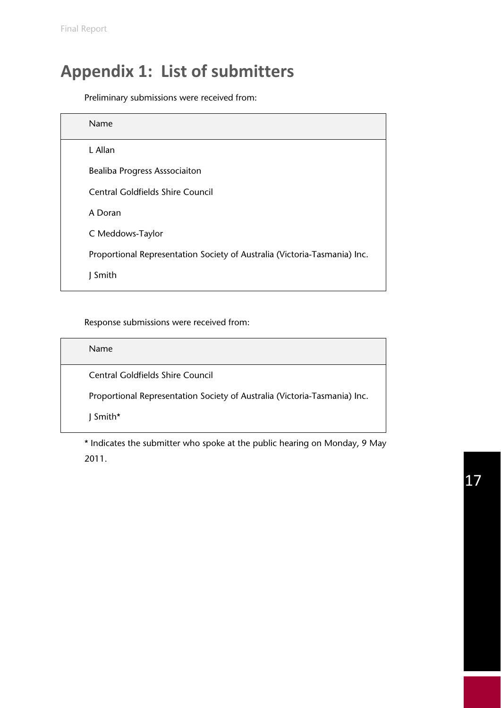# **Appendix 1: List of submitters**

Preliminary submissions were received from:

| Name                                                                      |
|---------------------------------------------------------------------------|
| L Allan                                                                   |
| <b>Bealiba Progress Asssociaiton</b>                                      |
| <b>Central Goldfields Shire Council</b>                                   |
| A Doran                                                                   |
| C Meddows-Taylor                                                          |
| Proportional Representation Society of Australia (Victoria-Tasmania) Inc. |
| Smith                                                                     |
|                                                                           |

Response submissions were received from:

| <b>Name</b>                                                               |
|---------------------------------------------------------------------------|
| Central Goldfields Shire Council                                          |
| Proportional Representation Society of Australia (Victoria-Tasmania) Inc. |
| $\mid$ Smith*                                                             |

\* Indicates the submitter who spoke at the public hearing on Monday, 9 May 2011.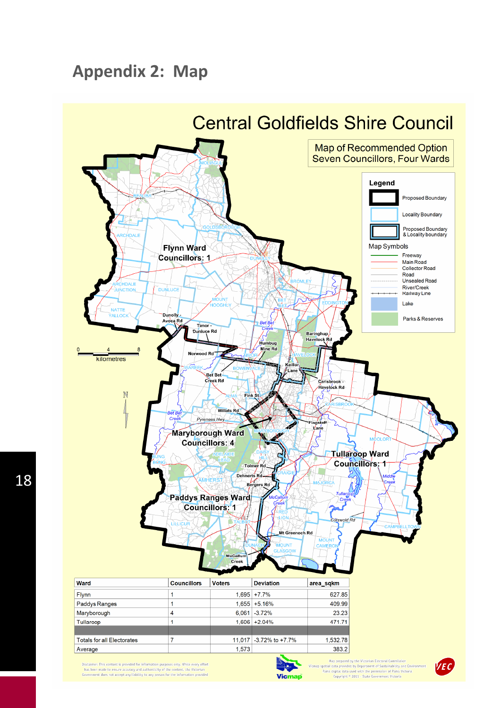# **Appendix 2: Map**



Disclaimer: This content is provided for information purposes only. While every effort has been made to ensure accuracy and authenticity of the content, the Victorian Government does not accept any liability to any person



Map prepared by the Victorian Electoral Commission<br>spatial data provided by Department of Sustainability and Environment<br>Parks digital data used with the permission of Parks Victoria<br>Copyright  $\degree$  2011 - State Government